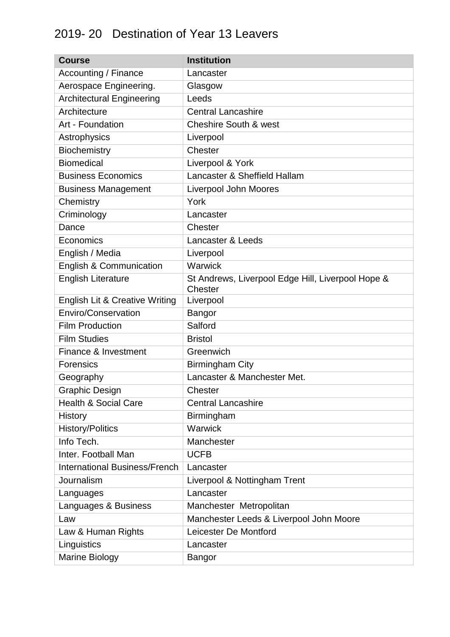## 2019- 20 Destination of Year 13 Leavers

| <b>Course</b>                             | <b>Institution</b>                                           |
|-------------------------------------------|--------------------------------------------------------------|
| Accounting / Finance                      | Lancaster                                                    |
| Aerospace Engineering.                    | Glasgow                                                      |
| <b>Architectural Engineering</b>          | Leeds                                                        |
| Architecture                              | <b>Central Lancashire</b>                                    |
| Art - Foundation                          | <b>Cheshire South &amp; west</b>                             |
| Astrophysics                              | Liverpool                                                    |
| Biochemistry                              | Chester                                                      |
| <b>Biomedical</b>                         | Liverpool & York                                             |
| <b>Business Economics</b>                 | Lancaster & Sheffield Hallam                                 |
| <b>Business Management</b>                | <b>Liverpool John Moores</b>                                 |
| Chemistry                                 | York                                                         |
| Criminology                               | Lancaster                                                    |
| Dance                                     | Chester                                                      |
| Economics                                 | Lancaster & Leeds                                            |
| English / Media                           | Liverpool                                                    |
| <b>English &amp; Communication</b>        | Warwick                                                      |
| <b>English Literature</b>                 | St Andrews, Liverpool Edge Hill, Liverpool Hope &<br>Chester |
| <b>English Lit &amp; Creative Writing</b> | Liverpool                                                    |
| Enviro/Conservation                       | <b>Bangor</b>                                                |
| <b>Film Production</b>                    | Salford                                                      |
| <b>Film Studies</b>                       | <b>Bristol</b>                                               |
| Finance & Investment                      | Greenwich                                                    |
| <b>Forensics</b>                          | <b>Birmingham City</b>                                       |
| Geography                                 | Lancaster & Manchester Met.                                  |
| <b>Graphic Design</b>                     | Chester                                                      |
| <b>Health &amp; Social Care</b>           | <b>Central Lancashire</b>                                    |
| <b>History</b>                            | Birmingham                                                   |
| <b>History/Politics</b>                   | Warwick                                                      |
| Info Tech.                                | Manchester                                                   |
| Inter. Football Man                       | <b>UCFB</b>                                                  |
| <b>International Business/French</b>      | Lancaster                                                    |
| Journalism                                | Liverpool & Nottingham Trent                                 |
| Languages                                 | Lancaster                                                    |
| Languages & Business                      | Manchester Metropolitan                                      |
| Law                                       | Manchester Leeds & Liverpool John Moore                      |
| Law & Human Rights                        | Leicester De Montford                                        |
| Linguistics                               | Lancaster                                                    |
| <b>Marine Biology</b>                     | Bangor                                                       |